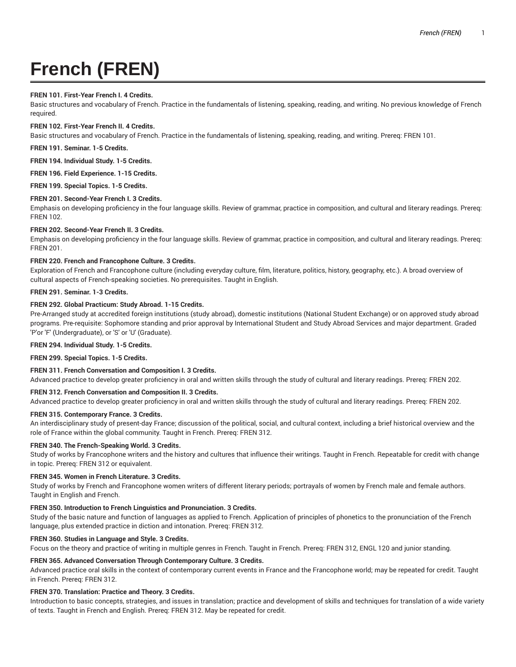# **French (FREN)**

# **FREN 101. First-Year French I. 4 Credits.**

Basic structures and vocabulary of French. Practice in the fundamentals of listening, speaking, reading, and writing. No previous knowledge of French required.

## **FREN 102. First-Year French II. 4 Credits.**

Basic structures and vocabulary of French. Practice in the fundamentals of listening, speaking, reading, and writing. Prereq: FREN 101.

**FREN 191. Seminar. 1-5 Credits.**

**FREN 194. Individual Study. 1-5 Credits.**

**FREN 196. Field Experience. 1-15 Credits.**

**FREN 199. Special Topics. 1-5 Credits.**

# **FREN 201. Second-Year French I. 3 Credits.**

Emphasis on developing proficiency in the four language skills. Review of grammar, practice in composition, and cultural and literary readings. Prereq: FREN 102.

# **FREN 202. Second-Year French II. 3 Credits.**

Emphasis on developing proficiency in the four language skills. Review of grammar, practice in composition, and cultural and literary readings. Prereq: FREN 201.

# **FREN 220. French and Francophone Culture. 3 Credits.**

Exploration of French and Francophone culture (including everyday culture, film, literature, politics, history, geography, etc.). A broad overview of cultural aspects of French-speaking societies. No prerequisites. Taught in English.

# **FREN 291. Seminar. 1-3 Credits.**

# **FREN 292. Global Practicum: Study Abroad. 1-15 Credits.**

Pre-Arranged study at accredited foreign institutions (study abroad), domestic institutions (National Student Exchange) or on approved study abroad programs. Pre-requisite: Sophomore standing and prior approval by International Student and Study Abroad Services and major department. Graded 'P'or 'F' (Undergraduate), or 'S' or 'U' (Graduate).

# **FREN 294. Individual Study. 1-5 Credits.**

**FREN 299. Special Topics. 1-5 Credits.**

# **FREN 311. French Conversation and Composition I. 3 Credits.**

Advanced practice to develop greater proficiency in oral and written skills through the study of cultural and literary readings. Prereq: FREN 202.

# **FREN 312. French Conversation and Composition II. 3 Credits.**

Advanced practice to develop greater proficiency in oral and written skills through the study of cultural and literary readings. Prereq: FREN 202.

#### **FREN 315. Contemporary France. 3 Credits.**

An interdisciplinary study of present-day France; discussion of the political, social, and cultural context, including a brief historical overview and the role of France within the global community. Taught in French. Prereq: FREN 312.

# **FREN 340. The French-Speaking World. 3 Credits.**

Study of works by Francophone writers and the history and cultures that influence their writings. Taught in French. Repeatable for credit with change in topic. Prereq: FREN 312 or equivalent.

#### **FREN 345. Women in French Literature. 3 Credits.**

Study of works by French and Francophone women writers of different literary periods; portrayals of women by French male and female authors. Taught in English and French.

# **FREN 350. Introduction to French Linguistics and Pronunciation. 3 Credits.**

Study of the basic nature and function of languages as applied to French. Application of principles of phonetics to the pronunciation of the French language, plus extended practice in diction and intonation. Prereq: FREN 312.

# **FREN 360. Studies in Language and Style. 3 Credits.**

Focus on the theory and practice of writing in multiple genres in French. Taught in French. Prereq: FREN 312, ENGL 120 and junior standing.

# **FREN 365. Advanced Conversation Through Contemporary Culture. 3 Credits.**

Advanced practice oral skills in the context of contemporary current events in France and the Francophone world; may be repeated for credit. Taught in French. Prereq: FREN 312.

# **FREN 370. Translation: Practice and Theory. 3 Credits.**

Introduction to basic concepts, strategies, and issues in translation; practice and development of skills and techniques for translation of a wide variety of texts. Taught in French and English. Prereq: FREN 312. May be repeated for credit.